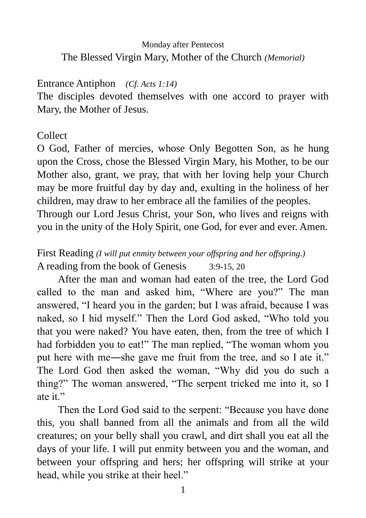## Monday after Pentecost The Blessed Virgin Mary, Mother of the Church *(Memorial)*

#### Entrance Antiphon *(Cf. Acts 1:14)*

The disciples devoted themselves with one accord to prayer with Mary, the Mother of Jesus.

#### Collect

O God, Father of mercies, whose Only Begotten Son, as he hung upon the Cross, chose the Blessed Virgin Mary, his Mother, to be our Mother also, grant, we pray, that with her loving help your Church may be more fruitful day by day and, exulting in the holiness of her children, may draw to her embrace all the families of the peoples.

Through our Lord Jesus Christ, your Son, who lives and reigns with you in the unity of the Holy Spirit, one God, for ever and ever. Amen.

First Reading *(I will put enmity between your offspring and her offspring.)* A reading from the book of Genesis 3:9-15, 20

After the man and woman had eaten of the tree, the Lord God called to the man and asked him, "Where are you?" The man answered, "I heard you in the garden; but I was afraid, because I was naked, so I hid myself." Then the Lord God asked, "Who told you that you were naked? You have eaten, then, from the tree of which I had forbidden you to eat!" The man replied, "The woman whom you put here with me―she gave me fruit from the tree, and so I ate it." The Lord God then asked the woman, "Why did you do such a thing?" The woman answered, "The serpent tricked me into it, so I ate it."

Then the Lord God said to the serpent: "Because you have done this, you shall banned from all the animals and from all the wild creatures; on your belly shall you crawl, and dirt shall you eat all the days of your life. I will put enmity between you and the woman, and between your offspring and hers; her offspring will strike at your head, while you strike at their heel."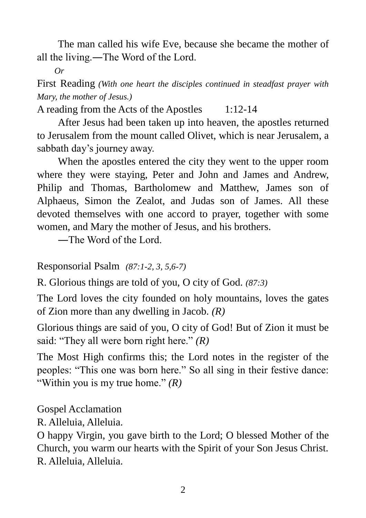The man called his wife Eve, because she became the mother of all the living.―The Word of the Lord.

*Or*

First Reading *(With one heart the disciples continued in steadfast prayer with Mary, the mother of Jesus.)*

A reading from the Acts of the Apostles 1:12-14

After Jesus had been taken up into heaven, the apostles returned to Jerusalem from the mount called Olivet, which is near Jerusalem, a sabbath day's journey away.

When the apostles entered the city they went to the upper room where they were staying, Peter and John and James and Andrew, Philip and Thomas, Bartholomew and Matthew, James son of Alphaeus, Simon the Zealot, and Judas son of James. All these devoted themselves with one accord to prayer, together with some women, and Mary the mother of Jesus, and his brothers.

―The Word of the Lord.

Responsorial Psalm *(87:1-2, 3, 5,6-7)*

R. Glorious things are told of you, O city of God. *(87:3)*

The Lord loves the city founded on holy mountains, loves the gates of Zion more than any dwelling in Jacob. *(R)*

Glorious things are said of you, O city of God! But of Zion it must be said: "They all were born right here." *(R)*

The Most High confirms this; the Lord notes in the register of the peoples: "This one was born here." So all sing in their festive dance: "Within you is my true home." *(R)*

Gospel Acclamation

R. Alleluia, Alleluia.

O happy Virgin, you gave birth to the Lord; O blessed Mother of the Church, you warm our hearts with the Spirit of your Son Jesus Christ. R. Alleluia, Alleluia.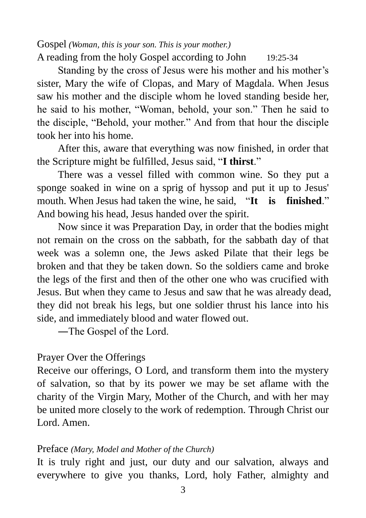Gospel *(Woman, this is your son. This is your mother.)* A reading from the holy Gospel according to John 19:25-34

Standing by the cross of Jesus were his mother and his mother's sister, Mary the wife of Clopas, and Mary of Magdala. When Jesus saw his mother and the disciple whom he loved standing beside her, he said to his mother, "Woman, behold, your son." Then he said to the disciple, "Behold, your mother." And from that hour the disciple took her into his home.

After this, aware that everything was now finished, in order that the Scripture might be fulfilled, Jesus said, "**I thirst**."

There was a vessel filled with common wine. So they put a sponge soaked in wine on a sprig of hyssop and put it up to Jesus' mouth. When Jesus had taken the wine, he said, "**It is finished**." And bowing his head, Jesus handed over the spirit.

Now since it was Preparation Day, in order that the bodies might not remain on the cross on the sabbath, for the sabbath day of that week was a solemn one, the Jews asked Pilate that their legs be broken and that they be taken down. So the soldiers came and broke the legs of the first and then of the other one who was crucified with Jesus. But when they came to Jesus and saw that he was already dead, they did not break his legs, but one soldier thrust his lance into his side, and immediately blood and water flowed out.

―The Gospel of the Lord.

## Prayer Over the Offerings

Receive our offerings, O Lord, and transform them into the mystery of salvation, so that by its power we may be set aflame with the charity of the Virgin Mary, Mother of the Church, and with her may be united more closely to the work of redemption. Through Christ our Lord. Amen.

#### Preface *(Mary, Model and Mother of the Church)*

It is truly right and just, our duty and our salvation, always and everywhere to give you thanks, Lord, holy Father, almighty and